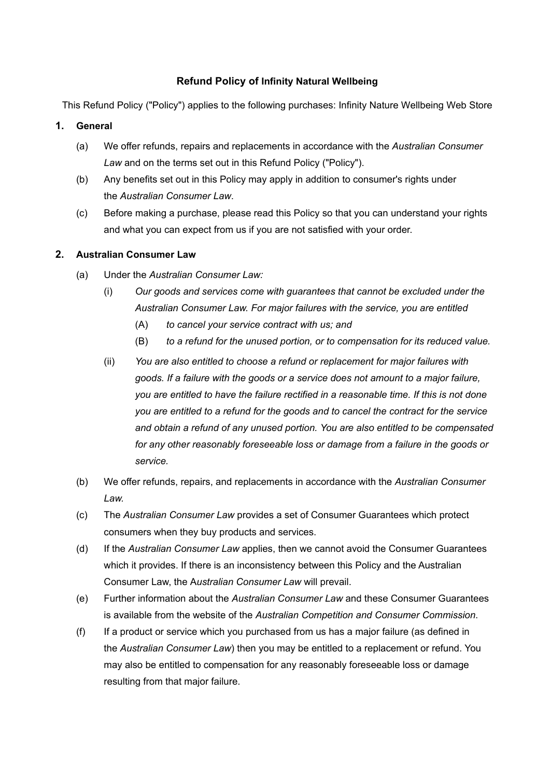### **Refund Policy of Infinity Natural Wellbeing**

This Refund Policy ("Policy") applies to the following purchases: Infinity Nature Wellbeing Web Store

### **1. General**

- (a) We offer refunds, repairs and replacements in accordance with the *Australian Consumer Law* and on the terms set out in this Refund Policy ("Policy").
- (b) Any benefits set out in this Policy may apply in addition to consumer's rights under the *Australian Consumer Law*.
- (c) Before making a purchase, please read this Policy so that you can understand your rights and what you can expect from us if you are not satisfied with your order.

#### **2. Australian Consumer Law**

- (a) Under the *Australian Consumer Law:*
	- (i) *Our goods and services come with guarantees that cannot be excluded under the Australian Consumer Law. For major failures with the service, you are entitled*
		- $(A)$ *to cancel your service contract with us; and*
		- (B) *to a refund for the unused portion, or to compensation for its reduced value.*
	- (ii) *You are also entitled to choose a refund or replacement for major failures with goods. If a failure with the goods or a service does not amount to a major failure, you are entitled to have the failure rectified in a reasonable time. If this is not done you are entitled to a refund for the goods and to cancel the contract for the service and obtain a refund of any unused portion. You are also entitled to be compensated for any other reasonably foreseeable loss or damage from a failure in the goods or service.*
- (b) We offer refunds, repairs, and replacements in accordance with the *Australian Consumer Law.*
- (c) The *Australian Consumer Law* provides a set of Consumer Guarantees which protect consumers when they buy products and services.
- (d) If the *Australian Consumer Law* applies, then we cannot avoid the Consumer Guarantees which it provides. If there is an inconsistency between this Policy and the Australian Consumer Law, the A*ustralian Consumer Law* will prevail.
- (e) Further information about the *Australian Consumer Law* and these Consumer Guarantees is available from the website of the *Australian Competition and Consumer Commission*.
- (f) If a product or service which you purchased from us has a major failure (as defined in the *Australian Consumer Law*) then you may be entitled to a replacement or refund. You may also be entitled to compensation for any reasonably foreseeable loss or damage resulting from that major failure.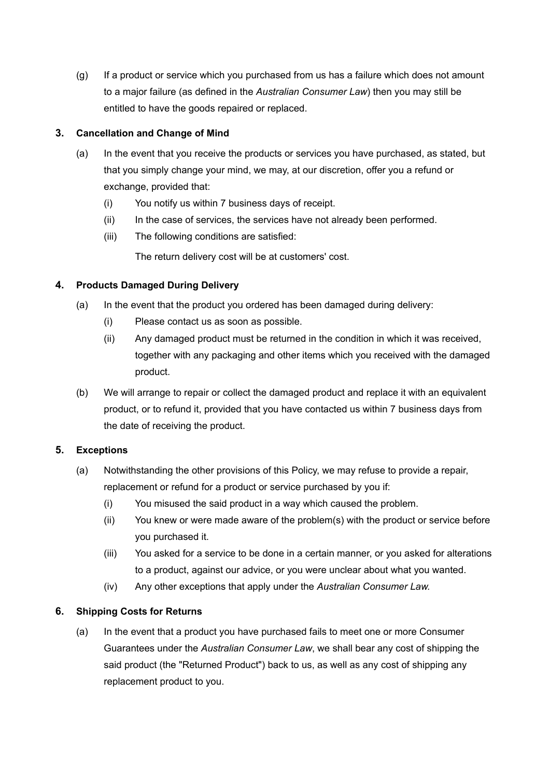(g) If a product or service which you purchased from us has a failure which does not amount to a major failure (as defined in the *Australian Consumer Law*) then you may still be entitled to have the goods repaired or replaced.

# **3. Cancellation and Change of Mind**

- (a) In the event that you receive the products or services you have purchased, as stated, but that you simply change your mind, we may, at our discretion, offer you a refund or exchange, provided that:
	- (i) You notify us within 7 business days of receipt.
	- (ii) In the case of services, the services have not already been performed.
	- (iii) The following conditions are satisfied:

The return delivery cost will be at customers' cost.

# **4. Products Damaged During Delivery**

- (a) In the event that the product you ordered has been damaged during delivery:
	- (i) Please contact us as soon as possible.
	- (ii) Any damaged product must be returned in the condition in which it was received, together with any packaging and other items which you received with the damaged product.
- (b) We will arrange to repair or collect the damaged product and replace it with an equivalent product, or to refund it, provided that you have contacted us within 7 business days from the date of receiving the product.

### **5. Exceptions**

- (a) Notwithstanding the other provisions of this Policy, we may refuse to provide a repair, replacement or refund for a product or service purchased by you if:
	- (i) You misused the said product in a way which caused the problem.
	- (ii) You knew or were made aware of the problem(s) with the product or service before you purchased it.
	- (iii) You asked for a service to be done in a certain manner, or you asked for alterations to a product, against our advice, or you were unclear about what you wanted.
	- (iv) Any other exceptions that apply under the *Australian Consumer Law.*

### **6. Shipping Costs for Returns**

(a) In the event that a product you have purchased fails to meet one or more Consumer Guarantees under the *Australian Consumer Law*, we shall bear any cost of shipping the said product (the "Returned Product") back to us, as well as any cost of shipping any replacement product to you.